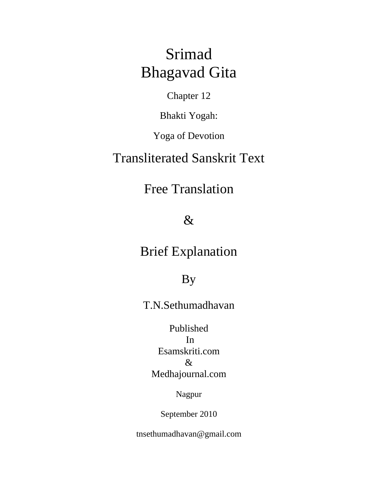# Srimad Bhagavad Gita

Chapter 12

Bhakti Yogah:

Yoga of Devotion

### Transliterated Sanskrit Text

## Free Translation

### $\&$

### Brief Explanation

### By

T.N.Sethumadhavan

### Published In Esamskriti.com & Medhajournal.com

Nagpur

September 2010

tnsethumadhavan@gmail.com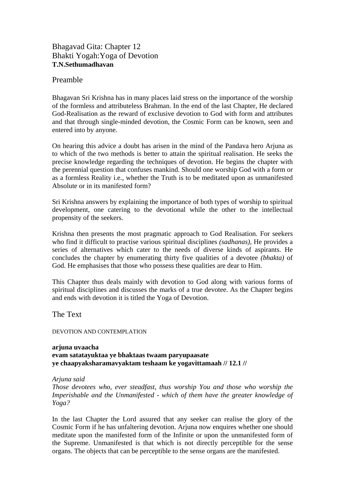#### Bhagavad Gita: Chapter 12 Bhakti Yogah:Yoga of Devotion **T.N.Sethumadhavan**

#### Preamble

Bhagavan Sri Krishna has in many places laid stress on the importance of the worship of the formless and attributeless Brahman. In the end of the last Chapter, He declared God-Realisation as the reward of exclusive devotion to God with form and attributes and that through single-minded devotion, the Cosmic Form can be known, seen and entered into by anyone.

On hearing this advice a doubt has arisen in the mind of the Pandava hero Arjuna as to which of the two methods is better to attain the spiritual realisation. He seeks the precise knowledge regarding the techniques of devotion. He begins the chapter with the perennial question that confuses mankind. Should one worship God with a form or as a formless Reality i.e., whether the Truth is to be meditated upon as unmanifested Absolute or in its manifested form?

Sri Krishna answers by explaining the importance of both types of worship to spiritual development, one catering to the devotional while the other to the intellectual propensity of the seekers.

Krishna then presents the most pragmatic approach to God Realisation. For seekers who find it difficult to practise various spiritual disciplines *(sadhanas),* He provides a series of alternatives which cater to the needs of diverse kinds of aspirants. He concludes the chapter by enumerating thirty five qualities of a devotee *(bhakta)* of God. He emphasises that those who possess these qualities are dear to Him.

This Chapter thus deals mainly with devotion to God along with various forms of spiritual disciplines and discusses the marks of a true devotee. As the Chapter begins and ends with devotion it is titled the Yoga of Devotion.

The Text

DEVOTION AND CONTEMPLATION

**arjuna uvaacha evam satatayuktaa ye bhaktaas twaam paryupaasate ye chaapyaksharamavyaktam teshaam ke yogavittamaah // 12.1 //** 

*Arjuna said* 

*Those devotees who, ever steadfast, thus worship You and those who worship the Imperishable and the Unmanifested - which of them have the greater knowledge of Yoga?* 

In the last Chapter the Lord assured that any seeker can realise the glory of the Cosmic Form if he has unfaltering devotion. Arjuna now enquires whether one should meditate upon the manifested form of the Infinite or upon the unmanifested form of the Supreme. Unmanifested is that which is not directly perceptible for the sense organs. The objects that can be perceptible to the sense organs are the manifested.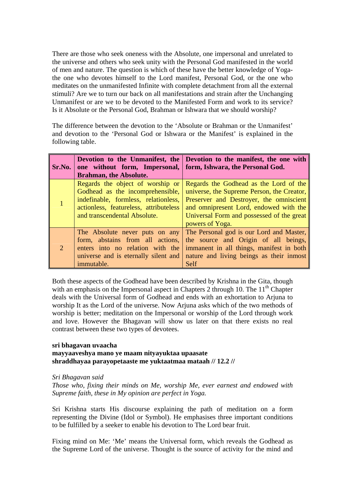There are those who seek oneness with the Absolute, one impersonal and unrelated to the universe and others who seek unity with the Personal God manifested in the world of men and nature. The question is which of these have the better knowledge of Yogathe one who devotes himself to the Lord manifest, Personal God, or the one who meditates on the unmanifested Infinite with complete detachment from all the external stimuli? Are we to turn our back on all manifestations and strain after the Unchanging Unmanifest or are we to be devoted to the Manifested Form and work to its service? Is it Absolute or the Personal God, Brahman or Ishwara that we should worship?

The difference between the devotion to the 'Absolute or Brahman or the Unmanifest' and devotion to the 'Personal God or Ishwara or the Manifest' is explained in the following table.

| Sr.No.         | one without form, Impersonal, form, Ishwara, the Personal God.<br><b>Brahman, the Absolute.</b>                                                                                        | Devotion to the Unmanifest, the Devotion to the manifest, the one with                                                                                                                                                                    |
|----------------|----------------------------------------------------------------------------------------------------------------------------------------------------------------------------------------|-------------------------------------------------------------------------------------------------------------------------------------------------------------------------------------------------------------------------------------------|
|                | Regards the object of worship or<br>Godhead as the incomprehensible,<br>indefinable, formless, relationless,<br>actionless, featureless, attributeless<br>and transcendental Absolute. | Regards the Godhead as the Lord of the<br>universe, the Supreme Person, the Creator,<br>Preserver and Destroyer, the omniscient<br>and omnipresent Lord, endowed with the<br>Universal Form and possessed of the great<br>powers of Yoga. |
| $\overline{2}$ | The Absolute never puts on any<br>form, abstains from all actions,<br>enters into no relation with the<br>universe and is eternally silent and<br>immutable.                           | The Personal god is our Lord and Master,<br>the source and Origin of all beings,<br>immanent in all things, manifest in both<br>nature and living beings as their inmost<br>Self                                                          |

Both these aspects of the Godhead have been described by Krishna in the Gita, though with an emphasis on the Impersonal aspect in Chapters 2 through 10. The  $11<sup>th</sup>$  Chapter deals with the Universal form of Godhead and ends with an exhortation to Arjuna to worship It as the Lord of the universe. Now Arjuna asks which of the two methods of worship is better; meditation on the Impersonal or worship of the Lord through work and love. However the Bhagavan will show us later on that there exists no real contrast between these two types of devotees.

#### **sri bhagavan uvaacha mayyaaveshya mano ye maam nityayuktaa upaasate shraddhayaa parayopetaaste me yuktaatmaa mataah // 12.2 //**

#### *Sri Bhagavan said*

*Those who, fixing their minds on Me, worship Me, ever earnest and endowed with Supreme faith, these in My opinion are perfect in Yoga.* 

Sri Krishna starts His discourse explaining the path of meditation on a form representing the Divine (Idol or Symbol). He emphasises three important conditions to be fulfilled by a seeker to enable his devotion to The Lord bear fruit.

Fixing mind on Me: 'Me' means the Universal form, which reveals the Godhead as the Supreme Lord of the universe. Thought is the source of activity for the mind and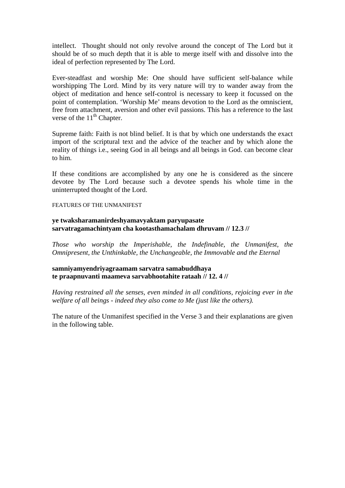intellect. Thought should not only revolve around the concept of The Lord but it should be of so much depth that it is able to merge itself with and dissolve into the ideal of perfection represented by The Lord.

Ever-steadfast and worship Me: One should have sufficient self-balance while worshipping The Lord. Mind by its very nature will try to wander away from the object of meditation and hence self-control is necessary to keep it focussed on the point of contemplation. 'Worship Me' means devotion to the Lord as the omniscient, free from attachment, aversion and other evil passions. This has a reference to the last verse of the  $11<sup>th</sup>$  Chapter.

Supreme faith: Faith is not blind belief. It is that by which one understands the exact import of the scriptural text and the advice of the teacher and by which alone the reality of things i.e., seeing God in all beings and all beings in God. can become clear to him.

If these conditions are accomplished by any one he is considered as the sincere devotee by The Lord because such a devotee spends his whole time in the uninterrupted thought of the Lord.

#### FEATURES OF THE UNMANIFEST

#### **ye twaksharamanirdeshyamavyaktam paryupasate sarvatragamachintyam cha kootasthamachalam dhruvam // 12.3 //**

*Those who worship the Imperishable, the Indefinable, the Unmanifest, the Omnipresent, the Unthinkable, the Unchangeable, the Immovable and the Eternal* 

#### **samniyamyendriyagraamam sarvatra samabuddhaya te praapnuvanti maameva sarvabhootahite rataah // 12. 4 //**

*Having restrained all the senses, even minded in all conditions, rejoicing ever in the welfare of all beings - indeed they also come to Me (just like the others).* 

The nature of the Unmanifest specified in the Verse 3 and their explanations are given in the following table.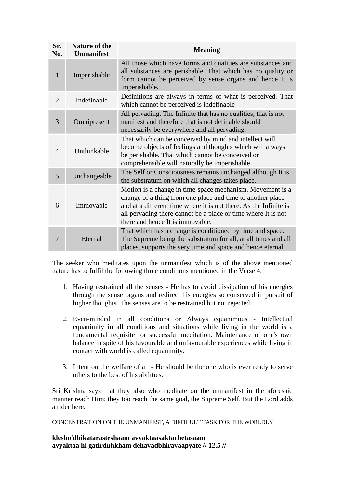| Sr.<br>No.     | <b>Nature of the</b><br><b>Unmanifest</b> | <b>Meaning</b>                                                                                                                                                                                                                                                                                    |
|----------------|-------------------------------------------|---------------------------------------------------------------------------------------------------------------------------------------------------------------------------------------------------------------------------------------------------------------------------------------------------|
| 1              | Imperishable                              | All those which have forms and qualities are substances and<br>all substances are perishable. That which has no quality or<br>form cannot be perceived by sense organs and hence It is<br>imperishable.                                                                                           |
| $\overline{2}$ | Indefinable                               | Definitions are always in terms of what is perceived. That<br>which cannot be perceived is indefinable                                                                                                                                                                                            |
| 3              | Omnipresent                               | All pervading. The Infinite that has no qualities, that is not<br>manifest and therefore that is not definable should<br>necessarily be everywhere and all pervading.                                                                                                                             |
| 4              | Unthinkable                               | That which can be conceived by mind and intellect will<br>become objects of feelings and thoughts which will always<br>be perishable. That which cannot be conceived or<br>comprehensible will naturally be imperishable.                                                                         |
| 5              | Unchangeable                              | The Self or Consciousness remains unchanged although It is<br>the substratum on which all changes takes place.                                                                                                                                                                                    |
| 6              | Immovable                                 | Motion is a change in time-space mechanism. Movement is a<br>change of a thing from one place and time to another place<br>and at a different time where it is not there. As the Infinite is<br>all pervading there cannot be a place or time where It is not<br>there and hence It is immovable. |
| 7              | Eternal                                   | That which has a change is conditioned by time and space.<br>The Supreme being the substratum for all, at all times and all<br>places, supports the very time and space and hence eternal                                                                                                         |

The seeker who meditates upon the unmanifest which is of the above mentioned nature has to fulfil the following three conditions mentioned in the Verse 4.

- 1. Having restrained all the senses He has to avoid dissipation of his energies through the sense organs and redirect his energies so conserved in pursuit of higher thoughts. The senses are to be restrained but not rejected.
- 2. Even-minded in all conditions or Always equanimous Intellectual equanimity in all conditions and situations while living in the world is a fundamental requisite for successful meditation. Maintenance of one's own balance in spite of his favourable and unfavourable experiences while living in contact with world is called equanimity.
- 3. Intent on the welfare of all He should be the one who is ever ready to serve others to the best of his abilities.

Sri Krishna says that they also who meditate on the unmanifest in the aforesaid manner reach Him; they too reach the same goal, the Supreme Self. But the Lord adds a rider here.

CONCENTRATION ON THE UNMANIFEST, A DIFFICULT TASK FOR THE WORLDLY

**klesho'dhikatarasteshaam avyaktaasaktachetasaam avyaktaa hi gatirduhkham dehavadbhiravaapyate // 12.5 //**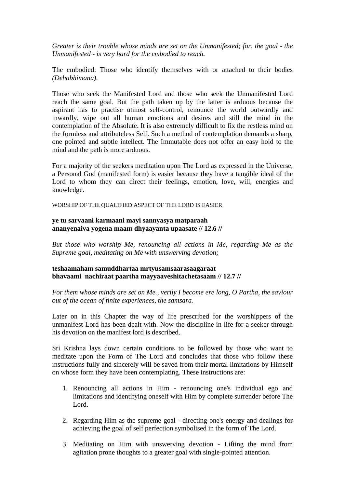*Greater is their trouble whose minds are set on the Unmanifested; for, the goal - the Unmanifested - is very hard for the embodied to reach.* 

The embodied: Those who identify themselves with or attached to their bodies *(Dehabhimana)*.

Those who seek the Manifested Lord and those who seek the Unmanifested Lord reach the same goal. But the path taken up by the latter is arduous because the aspirant has to practise utmost self-control, renounce the world outwardly and inwardly, wipe out all human emotions and desires and still the mind in the contemplation of the Absolute. It is also extremely difficult to fix the restless mind on the formless and attributeless Self. Such a method of contemplation demands a sharp, one pointed and subtle intellect. The Immutable does not offer an easy hold to the mind and the path is more arduous.

For a majority of the seekers meditation upon The Lord as expressed in the Universe, a Personal God (manifested form) is easier because they have a tangible ideal of the Lord to whom they can direct their feelings, emotion, love, will, energies and knowledge.

WORSHIP OF THE QUALIFIED ASPECT OF THE LORD IS EASIER

#### **ye tu sarvaani karmaani mayi sannyasya matparaah ananyenaiva yogena maam dhyaayanta upaasate // 12.6 //**

*But those who worship Me, renouncing all actions in Me, regarding Me as the Supreme goal, meditating on Me with unswerving devotion;* 

**teshaamaham samuddhartaa mrtyusamsaarasaagaraat bhavaami nachiraat paartha mayyaaveshitachetasaam // 12.7 //** 

*For them whose minds are set on Me , verily I become ere long, O Partha, the saviour out of the ocean of finite experiences, the samsara.* 

Later on in this Chapter the way of life prescribed for the worshippers of the unmanifest Lord has been dealt with. Now the discipline in life for a seeker through his devotion on the manifest lord is described.

Sri Krishna lays down certain conditions to be followed by those who want to meditate upon the Form of The Lord and concludes that those who follow these instructions fully and sincerely will be saved from their mortal limitations by Himself on whose form they have been contemplating. These instructions are:

- 1. Renouncing all actions in Him renouncing one's individual ego and limitations and identifying oneself with Him by complete surrender before The Lord.
- 2. Regarding Him as the supreme goal directing one's energy and dealings for achieving the goal of self perfection symbolised in the form of The Lord.
- 3. Meditating on Him with unswerving devotion Lifting the mind from agitation prone thoughts to a greater goal with single-pointed attention.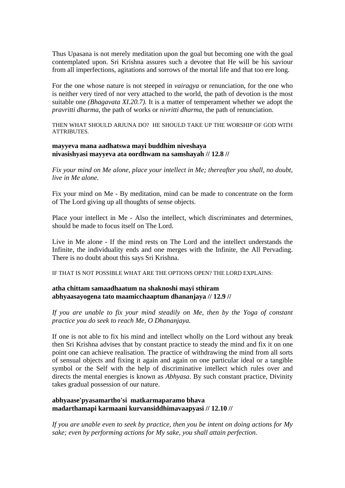Thus Upasana is not merely meditation upon the goal but becoming one with the goal contemplated upon. Sri Krishna assures such a devotee that He will be his saviour from all imperfections, agitations and sorrows of the mortal life and that too ere long.

For the one whose nature is not steeped in *vairagya* or renunciation, for the one who is neither very tired of nor very attached to the world, the path of devotion is the most suitable one *(Bhagavata XI.20.7)*. It is a matter of temperament whether we adopt the *pravritti dharma*, the path of works or *nivritti dharma*, the path of renunciation.

THEN WHAT SHOULD ARJUNA DO? HE SHOULD TAKE UP THE WORSHIP OF GOD WITH ATTRIBUTES.

#### **mayyeva mana aadhatswa mayi buddhim niveshaya nivasishyasi mayyeva ata oordhwam na samshayah // 12.8 //**

*Fix your mind on Me alone, place your intellect in Me; thereafter you shall, no doubt, live in Me alone.* 

Fix your mind on Me - By meditation, mind can be made to concentrate on the form of The Lord giving up all thoughts of sense objects.

Place your intellect in Me - Also the intellect, which discriminates and determines, should be made to focus itself on The Lord.

Live in Me alone - If the mind rests on The Lord and the intellect understands the Infinite, the individuality ends and one merges with the Infinite, the All Pervading. There is no doubt about this says Sri Krishna.

IF THAT IS NOT POSSIBLE WHAT ARE THE OPTIONS OPEN? THE LORD EXPLAINS:

#### **atha chittam samaadhaatum na shaknoshi mayi sthiram abhyaasayogena tato maamicchaaptum dhananjaya // 12.9 //**

*If you are unable to fix your mind steadily on Me, then by the Yoga of constant practice you do seek to reach Me, O Dhananjaya.* 

If one is not able to fix his mind and intellect wholly on the Lord without any break then Sri Krishna advises that by constant practice to steady the mind and fix it on one point one can achieve realisation. The practice of withdrawing the mind from all sorts of sensual objects and fixing it again and again on one particular ideal or a tangible symbol or the Self with the help of discriminative intellect which rules over and directs the mental energies is known as *Abhyasa*. By such constant practice, Divinity takes gradual possession of our nature.

#### **abhyaase'pyasamartho'si matkarmaparamo bhava madarthamapi karmaani kurvansiddhimavaapyasi // 12.10 //**

*If you are unable even to seek by practice, then you be intent on doing actions for My sake; even by performing actions for My sake, you shall attain perfection.*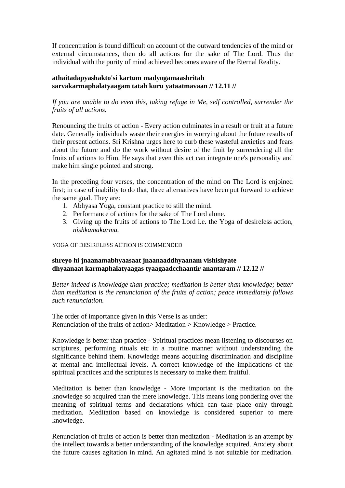If concentration is found difficult on account of the outward tendencies of the mind or external circumstances, then do all actions for the sake of The Lord. Thus the individual with the purity of mind achieved becomes aware of the Eternal Reality.

#### **athaitadapyashakto'si kartum madyogamaashritah sarvakarmaphalatyaagam tatah kuru yataatmavaan // 12.11 //**

#### *If you are unable to do even this, taking refuge in Me, self controlled, surrender the fruits of all actions.*

Renouncing the fruits of action - Every action culminates in a result or fruit at a future date. Generally individuals waste their energies in worrying about the future results of their present actions. Sri Krishna urges here to curb these wasteful anxieties and fears about the future and do the work without desire of the fruit by surrendering all the fruits of actions to Him. He says that even this act can integrate one's personality and make him single pointed and strong.

In the preceding four verses, the concentration of the mind on The Lord is enjoined first; in case of inability to do that, three alternatives have been put forward to achieve the same goal. They are:

- 1. Abhyasa Yoga, constant practice to still the mind.
- 2. Performance of actions for the sake of The Lord alone.
- 3. Giving up the fruits of actions to The Lord i.e. the Yoga of desireless action, *nishkamakarma.*

#### YOGA OF DESIRELESS ACTION IS COMMENDED

#### **shreyo hi jnaanamabhyaasaat jnaanaaddhyaanam vishishyate dhyaanaat karmaphalatyaagas tyaagaadcchaantir anantaram // 12.12 //**

*Better indeed is knowledge than practice; meditation is better than knowledge; better than meditation is the renunciation of the fruits of action; peace immediately follows such renunciation.* 

The order of importance given in this Verse is as under: Renunciation of the fruits of action> Meditation > Knowledge > Practice.

Knowledge is better than practice - Spiritual practices mean listening to discourses on scriptures, performing rituals etc in a routine manner without understanding the significance behind them. Knowledge means acquiring discrimination and discipline at mental and intellectual levels. A correct knowledge of the implications of the spiritual practices and the scriptures is necessary to make them fruitful.

Meditation is better than knowledge - More important is the meditation on the knowledge so acquired than the mere knowledge. This means long pondering over the meaning of spiritual terms and declarations which can take place only through meditation. Meditation based on knowledge is considered superior to mere knowledge.

Renunciation of fruits of action is better than meditation - Meditation is an attempt by the intellect towards a better understanding of the knowledge acquired. Anxiety about the future causes agitation in mind. An agitated mind is not suitable for meditation.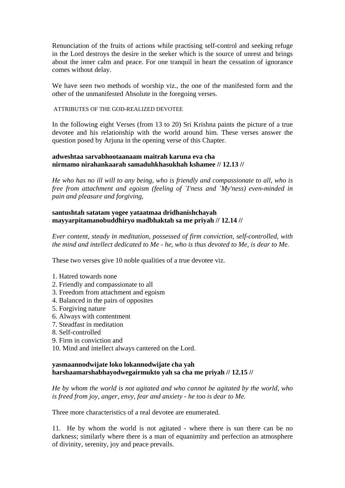Renunciation of the fruits of actions while practising self-control and seeking refuge in the Lord destroys the desire in the seeker which is the source of unrest and brings about the inner calm and peace. For one tranquil in heart the cessation of ignorance comes without delay.

We have seen two methods of worship viz., the one of the manifested form and the other of the unmanifested Absolute in the foregoing verses.

#### ATTRIBUTES OF THE GOD-REALIZED DEVOTEE

In the following eight Verses (from 13 to 20) Sri Krishna paints the picture of a true devotee and his relationship with the world around him. These verses answer the question posed by Arjuna in the opening verse of this Chapter.

#### **adweshtaa sarvabhootaanaam maitrah karuna eva cha nirmamo nirahankaarah samaduhkhasukhah kshamee // 12.13 //**

*He who has no ill will to any being, who is friendly and compassionate to all, who is free from attachment and egoism (feeling of `I'ness and `My'ness) even-minded in pain and pleasure and forgiving,* 

#### **santushtah satatam yogee yataatmaa dridhanishchayah mayyarpitamanobuddhiryo madbhaktah sa me priyah // 12.14 //**

*Ever content, steady in meditation, possessed of firm conviction, self-controlled, with the mind and intellect dedicated to Me - he, who is thus devoted to Me, is dear to Me.* 

These two verses give 10 noble qualities of a true devotee viz.

- 1. Hatred towards none
- 2. Friendly and compassionate to all
- 3. Freedom from attachment and egoism
- 4. Balanced in the pairs of opposites
- 5. Forgiving nature
- 6. Always with contentment
- 7. Steadfast in meditation
- 8. Self-controlled
- 9. Firm in conviction and
- 10. Mind and intellect always cantered on the Lord.

#### **yasmaannodwijate loko lokannodwijate cha yah harshaamarshabhayodwegairmukto yah sa cha me priyah // 12.15 //**

*He by whom the world is not agitated and who cannot be agitated by the world, who is freed from joy, anger, envy, fear and anxiety - he too is dear to Me.* 

Three more characteristics of a real devotee are enumerated.

11. He by whom the world is not agitated - where there is sun there can be no darkness; similarly where there is a man of equanimity and perfection an atmosphere of divinity, serenity, joy and peace prevails.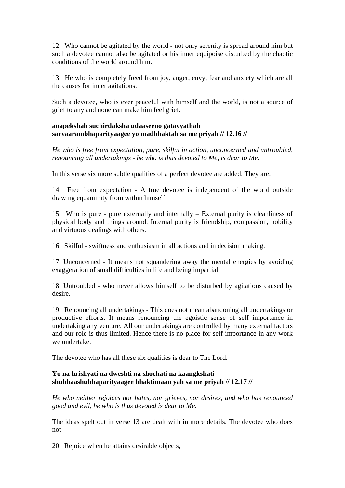12. Who cannot be agitated by the world - not only serenity is spread around him but such a devotee cannot also be agitated or his inner equipoise disturbed by the chaotic conditions of the world around him.

13. He who is completely freed from joy, anger, envy, fear and anxiety which are all the causes for inner agitations.

Such a devotee, who is ever peaceful with himself and the world, is not a source of grief to any and none can make him feel grief.

#### **anapekshah suchirdaksha udaaseeno gatavyathah sarvaarambhaparityaagee yo madbhaktah sa me priyah // 12.16 //**

*He who is free from expectation, pure, skilful in action, unconcerned and untroubled, renouncing all undertakings - he who is thus devoted to Me, is dear to Me.* 

In this verse six more subtle qualities of a perfect devotee are added. They are:

14. Free from expectation - A true devotee is independent of the world outside drawing equanimity from within himself.

15. Who is pure - pure externally and internally – External purity is cleanliness of physical body and things around. Internal purity is friendship, compassion, nobility and virtuous dealings with others.

16. Skilful - swiftness and enthusiasm in all actions and in decision making.

17. Unconcerned - It means not squandering away the mental energies by avoiding exaggeration of small difficulties in life and being impartial.

18. Untroubled - who never allows himself to be disturbed by agitations caused by desire.

19. Renouncing all undertakings - This does not mean abandoning all undertakings or productive efforts. It means renouncing the egoistic sense of self importance in undertaking any venture. All our undertakings are controlled by many external factors and our role is thus limited. Hence there is no place for self-importance in any work we undertake.

The devotee who has all these six qualities is dear to The Lord.

#### **Yo na hrishyati na dweshti na shochati na kaangkshati shubhaashubhaparityaagee bhaktimaan yah sa me priyah // 12.17 //**

*He who neither rejoices nor hates, nor grieves, nor desires, and who has renounced good and evil, he who is thus devoted is dear to Me.* 

The ideas spelt out in verse 13 are dealt with in more details. The devotee who does not

20. Rejoice when he attains desirable objects,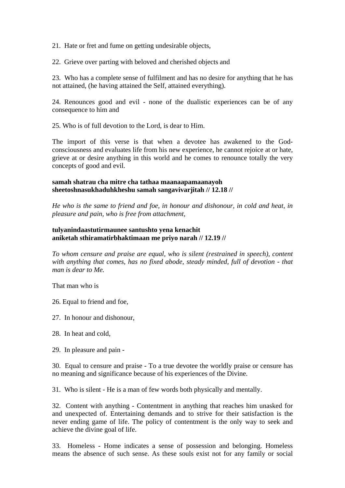21. Hate or fret and fume on getting undesirable objects,

22. Grieve over parting with beloved and cherished objects and

23. Who has a complete sense of fulfilment and has no desire for anything that he has not attained, (he having attained the Self, attained everything).

24. Renounces good and evil - none of the dualistic experiences can be of any consequence to him and

25. Who is of full devotion to the Lord, is dear to Him.

The import of this verse is that when a devotee has awakened to the Godconsciousness and evaluates life from his new experience, he cannot rejoice at or hate, grieve at or desire anything in this world and he comes to renounce totally the very concepts of good and evil.

#### **samah shatrau cha mitre cha tathaa maanaapamaanayoh sheetoshnasukhaduhkheshu samah sangavivarjitah // 12.18 //**

*He who is the same to friend and foe, in honour and dishonour, in cold and heat, in pleasure and pain, who is free from attachment,* 

#### **tulyanindaastutirmaunee santushto yena kenachit aniketah sthiramatirbhaktimaan me priyo narah // 12.19 //**

*To whom censure and praise are equal, who is silent (restrained in speech), content with anything that comes, has no fixed abode, steady minded, full of devotion - that man is dear to Me.* 

That man who is

26. Equal to friend and foe,

27. In honour and dishonour,

28. In heat and cold,

29. In pleasure and pain -

30. Equal to censure and praise - To a true devotee the worldly praise or censure has no meaning and significance because of his experiences of the Divine.

31. Who is silent - He is a man of few words both physically and mentally.

32. Content with anything - Contentment in anything that reaches him unasked for and unexpected of. Entertaining demands and to strive for their satisfaction is the never ending game of life. The policy of contentment is the only way to seek and achieve the divine goal of life.

33. Homeless - Home indicates a sense of possession and belonging. Homeless means the absence of such sense. As these souls exist not for any family or social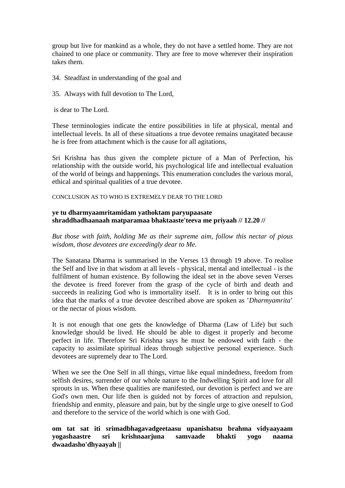group but live for mankind as a whole, they do not have a settled home. They are not chained to one place or community. They are free to move wherever their inspiration takes them.

- 34. Steadfast in understanding of the goal and
- 35. Always with full devotion to The Lord,

is dear to The Lord.

These terminologies indicate the entire possibilities in life at physical, mental and intellectual levels. In all of these situations a true devotee remains unagitated because he is free from attachment which is the cause for all agitations,

Sri Krishna has thus given the complete picture of a Man of Perfection, his relationship with the outside world, his psychological life and intellectual evaluation of the world of beings and happenings. This enumeration concludes the various moral, ethical and spiritual qualities of a true devotee.

CONCLUSION AS TO WHO IS EXTREMELY DEAR TO THE LORD

#### **ye tu dharmyaamritamidam yathoktam paryupaasate shraddhadhaanaah matparamaa bhaktaaste'teeva me priyaah // 12.20 //**

*But those with faith, holding Me as their supreme aim, follow this nectar of pious wisdom, those devotees are exceedingly dear to Me.* 

The Sanatana Dharma is summarised in the Verses 13 through 19 above. To realise the Self and live in that wisdom at all levels - physical, mental and intellectual - is the fulfilment of human existence. By following the ideal set in the above seven Verses the devotee is freed forever from the grasp of the cycle of birth and death and succeeds in realizing God who is immortality itself. It is in order to bring out this idea that the marks of a true devotee described above are spoken as '*Dharmyamrita*' or the nectar of pious wisdom.

It is not enough that one gets the knowledge of Dharma (Law of Life) but such knowledge should be lived. He should be able to digest it properly and become perfect in life. Therefore Sri Krishna says he must be endowed with faith - the capacity to assimilate spiritual ideas through subjective personal experience. Such devotees are supremely dear to The Lord.

When we see the One Self in all things, virtue like equal mindedness, freedom from selfish desires, surrender of our whole nature to the Indwelling Spirit and love for all sprouts in us. When these qualities are manifested, our devotion is perfect and we are God's own men. Our life then is guided not by forces of attraction and repulsion, friendship and enmity, pleasure and pain, but by the single urge to give oneself to God and therefore to the service of the world which is one with God.

**om tat sat iti srimadbhagavadgeetaasu upanishatsu brahma vidyaayaam yogashaastre sri krishnaarjuna samvaade bhakti yogo naama dwaadasho'dhyaayah ||**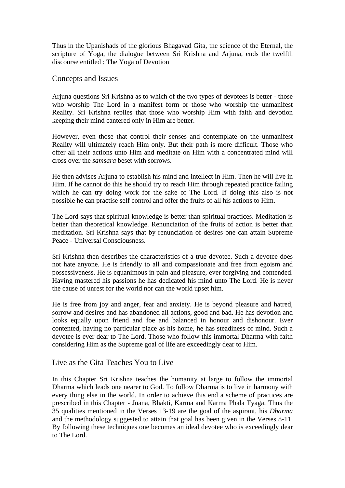Thus in the Upanishads of the glorious Bhagavad Gita, the science of the Eternal, the scripture of Yoga, the dialogue between Sri Krishna and Arjuna, ends the twelfth discourse entitled : The Yoga of Devotion

Concepts and Issues

Arjuna questions Sri Krishna as to which of the two types of devotees is better - those who worship The Lord in a manifest form or those who worship the unmanifest Reality. Sri Krishna replies that those who worship Him with faith and devotion keeping their mind cantered only in Him are better.

However, even those that control their senses and contemplate on the unmanifest Reality will ultimately reach Him only. But their path is more difficult. Those who offer all their actions unto Him and meditate on Him with a concentrated mind will cross over the *samsara* beset with sorrows.

He then advises Arjuna to establish his mind and intellect in Him. Then he will live in Him. If he cannot do this he should try to reach Him through repeated practice failing which he can try doing work for the sake of The Lord. If doing this also is not possible he can practise self control and offer the fruits of all his actions to Him.

The Lord says that spiritual knowledge is better than spiritual practices. Meditation is better than theoretical knowledge. Renunciation of the fruits of action is better than meditation. Sri Krishna says that by renunciation of desires one can attain Supreme Peace - Universal Consciousness.

Sri Krishna then describes the characteristics of a true devotee. Such a devotee does not hate anyone. He is friendly to all and compassionate and free from egoism and possessiveness. He is equanimous in pain and pleasure, ever forgiving and contended. Having mastered his passions he has dedicated his mind unto The Lord. He is never the cause of unrest for the world nor can the world upset him.

He is free from joy and anger, fear and anxiety. He is beyond pleasure and hatred, sorrow and desires and has abandoned all actions, good and bad. He has devotion and looks equally upon friend and foe and balanced in honour and dishonour. Ever contented, having no particular place as his home, he has steadiness of mind. Such a devotee is ever dear to The Lord. Those who follow this immortal Dharma with faith considering Him as the Supreme goal of life are exceedingly dear to Him.

#### Live as the Gita Teaches You to Live

In this Chapter Sri Krishna teaches the humanity at large to follow the immortal Dharma which leads one nearer to God. To follow Dharma is to live in harmony with every thing else in the world. In order to achieve this end a scheme of practices are prescribed in this Chapter - Jnana, Bhakti, Karma and Karma Phala Tyaga. Thus the 35 qualities mentioned in the Verses 13-19 are the goal of the aspirant, his *Dharma* and the methodology suggested to attain that goal has been given in the Verses 8-11. By following these techniques one becomes an ideal devotee who is exceedingly dear to The Lord.